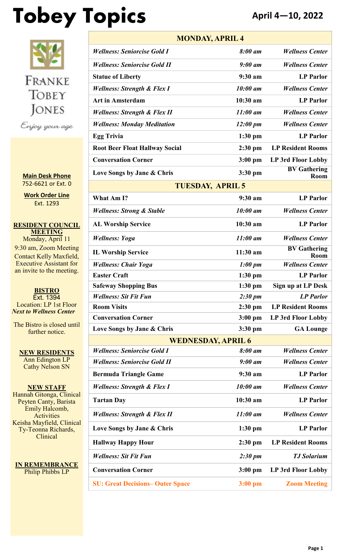# **Tobey Topics April 4—10, 2022**



**Main Desk Phone** 752-6621 or Ext. 0

**Work Order Line** Ext. 1293

**RESIDENT COUNCIL MEETING** Monday, April 11 9:30 am, Zoom Meeting Contact Kelly Maxfield, Executive Assistant for an invite to the meeting.

**BISTRO** Ext. 1394 Location: LP 1st Floor *Next to Wellness Center*

The Bistro is closed until further notice.

**NEW RESIDENTS** Ann Edington LP Cathy Nelson SN

**NEW STAFF** Hannah Gitonga, Clinical Peyten Canty, Barista Emily Halcomb, **Activities** Keisha Mayfield, Clinical Ty-Teonna Richards, Clinical

**IN REMEMBRANCE** Philip Phibbs LP

| <b>MONDAY, APRIL 4</b>                  |                                        |                                    |  |  |
|-----------------------------------------|----------------------------------------|------------------------------------|--|--|
| <b>Wellness: Seniorcise Gold I</b>      | 8:00 am                                | <b>Wellness Center</b>             |  |  |
| <b>Wellness: Seniorcise Gold II</b>     | $9:00 \text{ }$ am                     | <b>Wellness Center</b>             |  |  |
| <b>Statue of Liberty</b>                | 9:30 a <sub>m</sub>                    | <b>LP</b> Parlor                   |  |  |
| <b>Wellness: Strength &amp; Flex I</b>  | $10:00$ am                             | <b>Wellness Center</b>             |  |  |
| <b>Art in Amsterdam</b>                 | $10:30$ am                             | <b>LP</b> Parlor                   |  |  |
| <b>Wellness: Strength &amp; Flex II</b> | $11:00$ am                             | <b>Wellness Center</b>             |  |  |
| <b>Wellness: Monday Meditation</b>      | $12:00 \; \text{pm}$                   | <b>Wellness Center</b>             |  |  |
| <b>Egg Trivia</b>                       | $1:30$ pm                              | <b>LP</b> Parlor                   |  |  |
| <b>Root Beer Float Hallway Social</b>   | $2:30$ pm                              | <b>LP Resident Rooms</b>           |  |  |
| <b>Conversation Corner</b>              | $3:00$ pm<br><b>LP 3rd Floor Lobby</b> |                                    |  |  |
| Love Songs by Jane & Chris              | $3:30$ pm                              | <b>BV</b> Gathering<br><b>Room</b> |  |  |
| <b>TUESDAY, APRIL 5</b>                 |                                        |                                    |  |  |
| What Am I?                              | 9:30 a <sub>m</sub>                    | <b>LP</b> Parlor                   |  |  |
| <b>Wellness: Strong &amp; Stable</b>    | 10:00 am                               | <b>Wellness Center</b>             |  |  |
| <b>AL Worship Service</b>               | $10:30$ am                             | <b>LP</b> Parlor                   |  |  |
| <b>Wellness: Yoga</b>                   | $11:00$ am                             | <b>Wellness Center</b>             |  |  |
| <b>IL Worship Service</b>               | $11:30$ am                             | <b>BV</b> Gathering<br>Room        |  |  |
| <b>Wellness: Chair Yoga</b>             | $1:00 \; pm$                           | <b>Wellness Center</b>             |  |  |
| <b>Easter Craft</b>                     | $1:30$ pm                              | <b>LP</b> Parlor                   |  |  |
| <b>Safeway Shopping Bus</b>             | $1:30$ pm                              | Sign up at LP Desk                 |  |  |
| <b>Wellness: Sit Fit Fun</b>            | $2:30 \text{ pm}$                      | <b>LP</b> Parlor                   |  |  |
| <b>Room Visits</b>                      | $2:30$ pm                              | <b>LP Resident Rooms</b>           |  |  |
| <b>Conversation Corner</b>              | $3:00$ pm                              | LP 3rd Floor Lobby                 |  |  |
| Love Songs by Jane & Chris              | $3:30$ pm                              | <b>GA Lounge</b>                   |  |  |
| <b>WEDNESDAY, APRIL 6</b>               |                                        |                                    |  |  |
| <b>Wellness: Seniorcise Gold I</b>      | 8:00 am                                | <b>Wellness Center</b>             |  |  |
| <b>Wellness: Seniorcise Gold II</b>     | $9:00$ am                              | <b>Wellness Center</b>             |  |  |
| <b>Bermuda Triangle Game</b>            | 9:30 am                                | <b>LP</b> Parlor                   |  |  |
| <b>Wellness: Strength &amp; Flex I</b>  | 10:00 am                               | <b>Wellness Center</b>             |  |  |
| <b>Tartan Day</b>                       | 10:30 am                               | <b>LP</b> Parlor                   |  |  |
| <b>Wellness: Strength &amp; Flex II</b> | $11:00$ am                             | <b>Wellness Center</b>             |  |  |
| Love Songs by Jane & Chris              | $1:30$ pm                              | <b>LP</b> Parlor                   |  |  |
| <b>Hallway Happy Hour</b>               | $2:30$ pm                              | <b>LP Resident Rooms</b>           |  |  |
| <b>Wellness: Sit Fit Fun</b>            | $2:30 \text{ pm}$                      | <b>TJ</b> Solarium                 |  |  |
| <b>Conversation Corner</b>              | $3:00$ pm                              | LP 3rd Floor Lobby                 |  |  |
| <b>SU: Great Decisions-Outer Space</b>  | $3:00$ pm                              | <b>Zoom Meeting</b>                |  |  |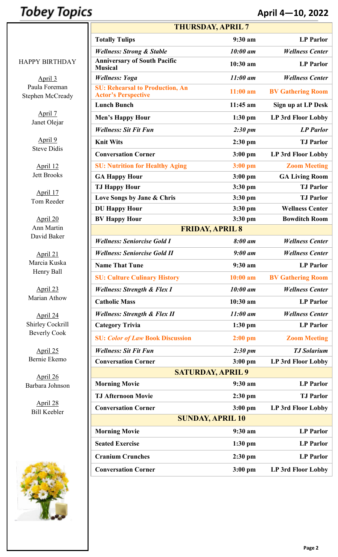## **Tobey Topics**

#### **April 4—10, 2022**

|                                   | <b>THURSDAY, APRIL 7</b>                                             |                   |                           |  |
|-----------------------------------|----------------------------------------------------------------------|-------------------|---------------------------|--|
|                                   | <b>Totally Tulips</b>                                                | 9:30 am           | <b>LP</b> Parlor          |  |
|                                   | <b>Wellness: Strong &amp; Stable</b>                                 | 10:00 am          | <b>Wellness Center</b>    |  |
| <b>HAPPY BIRTHDAY</b>             | <b>Anniversary of South Pacific</b><br><b>Musical</b>                | 10:30 am          | <b>LP</b> Parlor          |  |
| April 3                           | <b>Wellness: Yoga</b>                                                | $11:00$ am        | <b>Wellness Center</b>    |  |
| Paula Foreman<br>Stephen McCready | <b>SU: Rehearsal to Production, An</b><br><b>Actor's Perspective</b> | $11:00$ am        | <b>BV Gathering Room</b>  |  |
|                                   | <b>Lunch Bunch</b>                                                   | $11:45$ am        | <b>Sign up at LP Desk</b> |  |
| April 7                           | <b>Men's Happy Hour</b>                                              | $1:30$ pm         | LP 3rd Floor Lobby        |  |
| Janet Olejar                      | <b>Wellness: Sit Fit Fun</b>                                         | $2:30 \text{ pm}$ | <b>LP</b> Parlor          |  |
| April 9                           | <b>Knit Wits</b>                                                     | $2:30$ pm         | <b>TJ Parlor</b>          |  |
| <b>Steve Didis</b>                | <b>Conversation Corner</b>                                           | $3:00$ pm         | LP 3rd Floor Lobby        |  |
| April 12                          | <b>SU: Nutrition for Healthy Aging</b>                               | $3:00$ pm         | <b>Zoom Meeting</b>       |  |
| <b>Jett Brooks</b>                | <b>GA Happy Hour</b>                                                 | $3:00$ pm         | <b>GA Living Room</b>     |  |
|                                   | <b>TJ Happy Hour</b>                                                 | 3:30 pm           | <b>TJ Parlor</b>          |  |
| April 17<br>Tom Reeder            | Love Songs by Jane & Chris                                           | 3:30 pm           | <b>TJ</b> Parlor          |  |
|                                   | <b>DU Happy Hour</b>                                                 | 3:30 pm           | <b>Wellness Center</b>    |  |
| April 20                          | <b>BV Happy Hour</b>                                                 | 3:30 pm           | <b>Bowditch Room</b>      |  |
| Ann Martin                        | <b>FRIDAY, APRIL 8</b>                                               |                   |                           |  |
| David Baker                       | <b>Wellness: Seniorcise Gold I</b>                                   | 8:00 am           | <b>Wellness Center</b>    |  |
| April 21                          | <b>Wellness: Seniorcise Gold II</b>                                  | $9:00$ am         | <b>Wellness Center</b>    |  |
| Marcia Kuska                      | <b>Name That Tune</b>                                                | 9:30 am           | <b>LP Parlor</b>          |  |
| Henry Ball                        | <b>SU: Culture Culinary History</b>                                  | $10:00$ am        | <b>BV Gathering Room</b>  |  |
| April 23                          | <b>Wellness: Strength &amp; Flex I</b>                               | 10:00 am          | <b>Wellness Center</b>    |  |
| Marian Athow                      | <b>Catholic Mass</b>                                                 | 10:30 am          | <b>LP</b> Parlor          |  |
| April 24                          | <b>Wellness: Strength &amp; Flex II</b>                              | $11:00$ am        | <b>Wellness Center</b>    |  |
| Shirley Cockrill                  | <b>Category Trivia</b>                                               | $1:30$ pm         | <b>LP</b> Parlor          |  |
| <b>Beverly Cook</b>               | <b>SU: Color of Law Book Discussion</b>                              | $2:00$ pm         | <b>Zoom Meeting</b>       |  |
| April 25                          | <b>Wellness: Sit Fit Fun</b>                                         | $2:30 \text{ pm}$ | <b>TJ</b> Solarium        |  |
| Bernie Ekemo                      | <b>Conversation Corner</b>                                           | $3:00$ pm         | <b>LP 3rd Floor Lobby</b> |  |
| April 26                          | <b>SATURDAY, APRIL 9</b>                                             |                   |                           |  |
| Barbara Johnson                   | <b>Morning Movie</b>                                                 | 9:30 am           | <b>LP</b> Parlor          |  |
|                                   | <b>TJ Afternoon Movie</b>                                            | 2:30 pm           | <b>TJ Parlor</b>          |  |
| April 28<br><b>Bill Keebler</b>   | <b>Conversation Corner</b>                                           | $3:00$ pm         | <b>LP 3rd Floor Lobby</b> |  |
|                                   | <b>SUNDAY, APRIL 10</b>                                              |                   |                           |  |
|                                   | <b>Morning Movie</b>                                                 | 9:30 am           | <b>LP</b> Parlor          |  |
|                                   | <b>Seated Exercise</b>                                               | $1:30$ pm         | <b>LP</b> Parlor          |  |
|                                   | <b>Cranium Crunches</b>                                              | $2:30$ pm         | <b>LP</b> Parlor          |  |
|                                   | <b>Conversation Corner</b>                                           | 3:00 pm           | LP 3rd Floor Lobby        |  |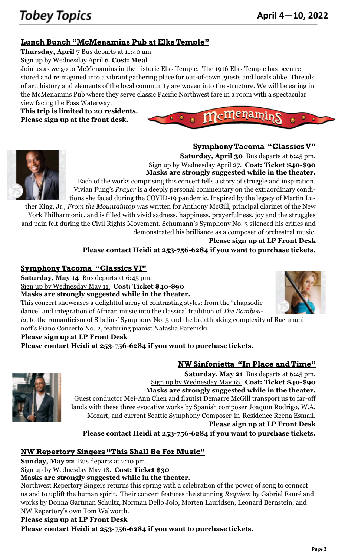#### **Lunch Bunch "McMenamins Pub at Elks Temple"**

**Thursday, April 7** Bus departs at 11:40 am

Sign up by Wednesday April 6 **Cost: Meal**

Join us as we go to McMenamins in the historic Elks Temple. The 1916 Elks Temple has been restored and reimagined into a vibrant gathering place for out-of-town guests and locals alike. Threads of art, history and elements of the local community are woven into the structure. We will be eating in the McMenamins Pub where they serve classic Pacific Northwest fare in a room with a spectacular view facing the Foss Waterway.

**This trip is limited to 20 residents. Please sign up at the front desk.**



 $\boldsymbol{m}$ c $\boldsymbol{m}$ ena $\boldsymbol{m}$ ir

**Symphony Tacoma "Classics V"**



**Saturday, April 30** Bus departs at 6:45 pm. Sign up by Wednesday April 27. **Cost: Ticket \$40-\$90 Masks are strongly suggested while in the theater.**

Each of the works comprising this concert tells a story of struggle and inspiration. Vivian Fung's *Prayer* is a deeply personal commentary on the extraordinary conditions she faced during the COVID-19 pandemic. Inspired by the legacy of Martin Lu-

ther King, Jr., *From the Mountaintop* was written for Anthony McGill, principal clarinet of the New York Philharmonic, and is filled with vivid sadness, happiness, prayerfulness, joy and the struggles and pain felt during the Civil Rights Movement. Schumann's Symphony No. 3 silenced his critics and demonstrated his brilliance as a composer of orchestral music.

**Please sign up at LP Front Desk**

**Please contact Heidi at 253-756-6284 if you want to purchase tickets.**

#### **Symphony Tacoma "Classics VI"**

**Saturday, May 14** Bus departs at 6:45 pm.

Sign up by Wednesday May 11. **Cost: Ticket \$40-\$90**

**Masks are strongly suggested while in the theater.**

This concert showcases a delightful array of contrasting styles: from the "rhapsodic dance" and integration of African music into the classical tradition of *The Bambou-*

*la,* to the romanticism of Sibelius' Symphony No. 5 and the breathtaking complexity of Rachmani-

noff's Piano Concerto No. 2, featuring pianist Natasha Paremski.

#### **Please sign up at LP Front Desk**

**Please contact Heidi at 253-756-6284 if you want to purchase tickets.**



**NW Sinfonietta "In Place and Time"**

**Saturday, May 21** Bus departs at 6:45 pm. Sign up by Wednesday May 18. **Cost: Ticket \$40-\$90 Masks are strongly suggested while in the theater.** Guest conductor Mei-Ann Chen and flautist Demarre McGill transport us to far-off lands with these three evocative works by Spanish composer Joaquín Rodrigo, W.A. Mozart, and current Seattle Symphony Composer-in-Residence Reena Esmail. **Please sign up at LP Front Desk**

**Please contact Heidi at 253-756-6284 if you want to purchase tickets.**

#### **NW Repertory Singers "This Shall Be For Music"**

**Sunday, May 22** Bus departs at 2:10 pm.

Sign up by Wednesday May 18. **Cost: Ticket \$30**

#### **Masks are strongly suggested while in the theater.**

Northwest Repertory Singers returns this spring with a celebration of the power of song to connect us and to uplift the human spirit. Their concert features the stunning *Requiem* by Gabriel Fauré and works by Donna Gartman Schultz, Norman Dello Joio, Morten Lauridsen, Leonard Bernstein, and NW Repertory's own Tom Walworth.

#### **Please sign up at LP Front Desk**

**Please contact Heidi at 253-756-6284 if you want to purchase tickets.**

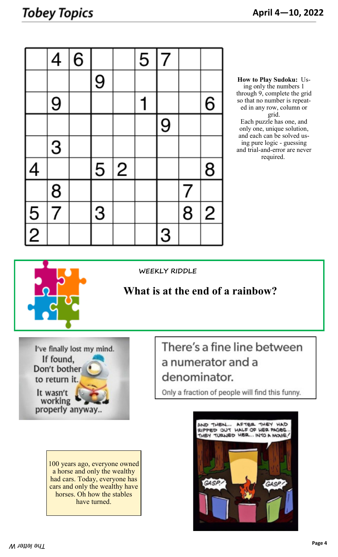|                          | 4             | 6 |   |              | $\overline{5}$ | $\overline{7}$ |   |                |
|--------------------------|---------------|---|---|--------------|----------------|----------------|---|----------------|
|                          |               |   | 9 |              |                |                |   |                |
|                          | 9             |   |   |              |                |                |   | 6              |
|                          |               |   |   |              |                | 9              |   |                |
|                          | 3             |   |   |              |                |                |   |                |
| $\overline{\mathcal{A}}$ |               |   | 5 | $\mathbf{2}$ |                |                |   | 8              |
|                          |               |   |   |              |                |                | 7 |                |
| $\frac{5}{2}$            | $\frac{8}{7}$ |   | 3 |              |                |                | 8 | $\overline{c}$ |
|                          |               |   |   |              |                | 3              |   |                |

**How to Play Sudoku:** Using only the numbers 1 through 9, complete the grid so that no number is repeated in any row, column or grid. Each puzzle has one, and only one, unique solution, and each can be solved using pure logic - guessing and trial-and-error are never required.



**WEEKLY RIDDLE**

### **What is at the end of a rainbow?**

I've finally lost my mind. If found, Don't bother to return it. It wasn't

working properly anyway...

There's a fine line between a numerator and a denominator.

Only a fraction of people will find this funny.

100 years ago, everyone owned a horse and only the wealthy had cars. Today, everyone has cars and only the wealthy have horses. Oh how the stables have turned.

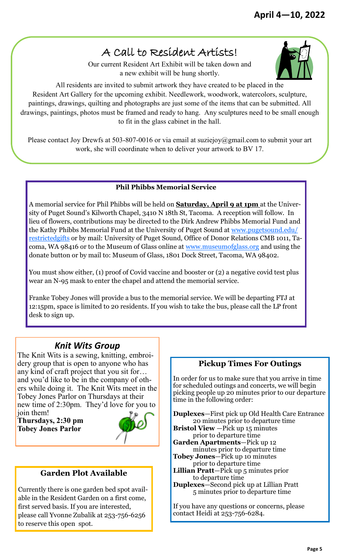## A Call to Resident Artists!

Our current Resident Art Exhibit will be taken down and a new exhibit will be hung shortly.

All residents are invited to submit artwork they have created to be placed in the Resident Art Gallery for the upcoming exhibit. Needlework, woodwork, watercolors, sculpture, paintings, drawings, quilting and photographs are just some of the items that can be submitted. All drawings, paintings, photos must be framed and ready to hang. Any sculptures need to be small enough to fit in the glass cabinet in the hall.

Please contact Joy Drewfs at 503-807-0016 or via email at suziejoy@gmail.com to submit your art work, she will coordinate when to deliver your artwork to BV 17.

#### **Phil Phibbs Memorial Service**

A memorial service for Phil Phibbs will be held on **Saturday, April 9 at 1pm** at the University of Puget Sound's Kilworth Chapel, 3410 N 18th St, Tacoma. A reception will follow. In lieu of flowers, contributions may be directed to the Dirk Andrew Phibbs Memorial Fund and the Kathy Phibbs Memorial Fund at the University of Puget Sound at [www.pugetsound.edu/](https://gcc02.safelinks.protection.outlook.com/?url=http%3A%2F%2Fwww.pugetsound.edu%2Frestrictedgifts&data=04%7C01%7CDiana.Phibbs%40kingcounty.gov%7C7d37477c767040da3afd08d9fe0a8326%7Cbae5059a76f049d7999672dfe95d69c7%7C0%7C0%7C637820143376737961%7CUnknown%7CT) [restrictedgifts o](https://gcc02.safelinks.protection.outlook.com/?url=http%3A%2F%2Fwww.pugetsound.edu%2Frestrictedgifts&data=04%7C01%7CDiana.Phibbs%40kingcounty.gov%7C7d37477c767040da3afd08d9fe0a8326%7Cbae5059a76f049d7999672dfe95d69c7%7C0%7C0%7C637820143376737961%7CUnknown%7CT)r by mail: University of Puget Sound, Office of Donor Relations CMB 1011, Tacoma, WA 98416 or to the Museum of Glass online at [www.museumofglass.org](http://www.museumofglass.org/) and using the donate button or by mail to: Museum of Glass, 1801 Dock Street, Tacoma, WA 98402.

You must show either, (1) proof of Covid vaccine and booster or (2) a negative covid test plus wear an N-95 mask to enter the chapel and attend the memorial service.

Franke Tobey Jones will provide a bus to the memorial service. We will be departing FTJ at 12:15pm, space is limited to 20 residents. If you wish to take the bus, please call the LP front desk to sign up.

#### *Knit Wits Group*

The Knit Wits is a sewing, knitting, embroidery group that is open to anyone who has any kind of craft project that you sit for… and you'd like to be in the company of others while doing it. The Knit Wits meet in the Tobey Jones Parlor on Thursdays at their new time of 2:30pm. They'd love for you to

join them! **Thursdays, 2:30 pm Tobey Jones Parlor**



#### **Garden Plot Available**

Currently there is one garden bed spot available in the Resident Garden on a first come, first served basis. If you are interested, please call Yvonne Zubalik at 253-756-6256 to reserve this open spot.

#### **Pickup Times For Outings**

In order for us to make sure that you arrive in time for scheduled outings and concerts, we will begin picking people up 20 minutes prior to our departure time in the following order:

**Duplexes**—First pick up Old Health Care Entrance 20 minutes prior to departure time **Bristol View** —Pick up 15 minutes

prior to departure time

**Garden Apartments**—Pick up 12 minutes prior to departure time **Tobey Jones**—Pick up 10 minutes

- prior to departure time
- **Lillian Pratt**—Pick up 5 minutes prior to departure time
- **Duplexes**—Second pick up at Lillian Pratt 5 minutes prior to departure time

If you have any questions or concerns, please contact Heidi at 253-756-6284.